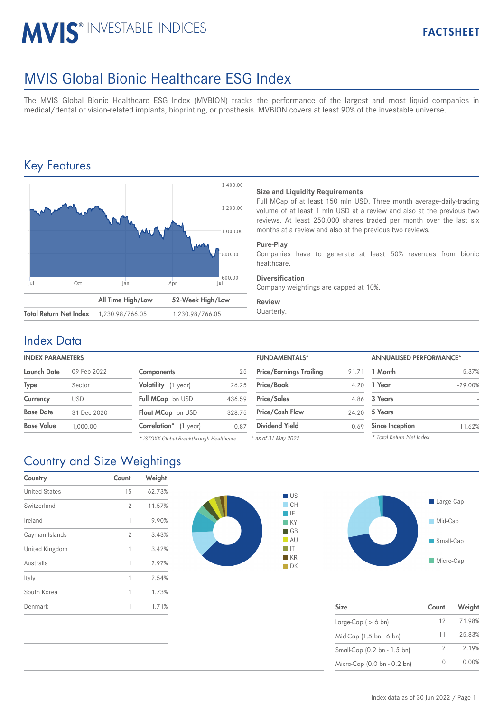# **MVIS® INVESTABLE INDICES**

## MVIS Global Bionic Healthcare ESG Index

The MVIS Global Bionic Healthcare ESG Index (MVBION) tracks the performance of the largest and most liquid companies in medical/dental or vision-related implants, bioprinting, or prosthesis. MVBION covers at least 90% of the investable universe.

### Key Features



### **Size and Liquidity Requirements**

Full MCap of at least 150 mln USD. Three month average-daily-trading volume of at least 1 mln USD at a review and also at the previous two reviews. At least 250,000 shares traded per month over the last six months at a review and also at the previous two reviews.

#### **Pure-Play**

Companies have to generate at least 50% revenues from bionic healthcare.

#### **Diversification**

Company weightings are capped at 10%.

#### **Review**

### Index Data

#### **INDEX PARAMETERS**

| Launch Date       | 09 Feb 2022 | <b>Components</b>             | 25     | <b>Price/Earnings Trailing</b> |      | 91.71 1 Month          |
|-------------------|-------------|-------------------------------|--------|--------------------------------|------|------------------------|
| Type              | Sector      | Volatility (1 year)           | 26.25  | Price/Book                     |      | 4.20 1 Year            |
| Currency          | <b>USD</b>  | <b>Full MCap</b> bn USD       | 436.59 | <b>Price/Sales</b>             |      | 4.86 3 Years           |
| <b>Base Date</b>  | 31 Dec 2020 | Float MCap bn USD             | 328.75 | <b>Price/Cash Flow</b>         |      | 24.20 5 Years          |
| <b>Base Value</b> | 1,000.00    | <b>Correlation</b> * (1 year) | 0.87   | <b>Dividend Yield</b>          | 0.69 | <b>Since Inception</b> |

*\* iSTOXX Global Breakthrough Healthcare*

| <b>FUNDAMENTALS*</b>           |       | <b>ANNUALISED PERFORMANCE*</b> |           |  |
|--------------------------------|-------|--------------------------------|-----------|--|
| <b>Price/Earnings Trailing</b> | 91.71 | 1 Month                        | $-5.37%$  |  |
| Price/Book                     | 4.20  | 1 Year                         | $-29.00%$ |  |
| <b>Price/Sales</b>             | 4.86  | 3 Years                        |           |  |
| <b>Price/Cash Flow</b>         | 24.20 | 5 Years                        |           |  |
| <b>Dividend Yield</b>          | 0.69  | <b>Since Inception</b>         | $-11.62%$ |  |
| <sup>*</sup> as of 31 Mav 2022 |       | * Total Return Net Index       |           |  |

*\* as of 31 May 2022*

|  | <b>Country and Size Weightings</b> |  |
|--|------------------------------------|--|

| Country              | Count | Weight |
|----------------------|-------|--------|
| <b>United States</b> | 15    | 62.73% |
| Switzerland          | 2     | 11.57% |
| Ireland              | 1     | 9.90%  |
| Cayman Islands       | 2     | 3.43%  |
| United Kingdom       | 1     | 3.42%  |
| Australia            | 1     | 2.97%  |
| Italy                | 1     | 2.54%  |
| South Korea          | 1     | 1.73%  |
| Denmark              | 1     | 1.71%  |





| <b>Size</b>                 | Count           | Weight |
|-----------------------------|-----------------|--------|
| Large-Cap $( > 6$ bn)       | 12 <sup>1</sup> | 71.98% |
| Mid-Cap (1.5 bn - 6 bn)     | 11              | 25.83% |
| Small-Cap (0.2 bn - 1.5 bn) | 2               | 2.19%  |
| Micro-Cap (0.0 bn - 0.2 bn) |                 | 0.00%  |